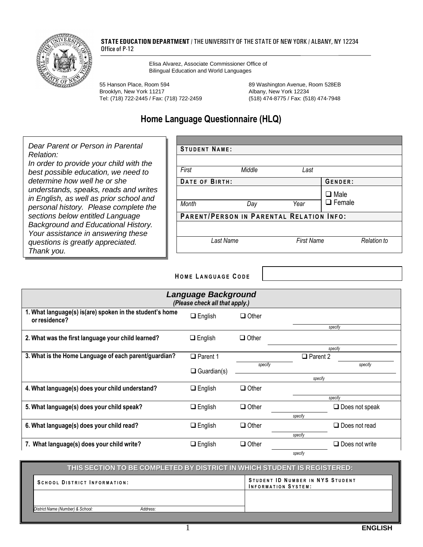

#### **STATE EDUCATION DEPARTMENT** / THE UNIVERSITY OF THE STATE OF NEW YORK / ALBANY, NY 12234 Office of P-12

 Elisa Alvarez, Associate Commissioner Office of Bilingual Education and World Languages

55 Hanson Place, Room 594 89 Washington Avenue, Room 528EB Brooklyn, New York 11217 March 2018 2019 Albany, New York 12234 Tel: (718) 722-2445 / Fax: (718) 722-2459 (518) 474-8775 / Fax: (518) 474-7948

## **Home Language Questionnaire (HLQ)**

 *Dear Parent or Person in Parental determine how well he or she Relation: In order to provide your child with the best possible education, we need to understands, speaks, reads and writes in English, as well as prior school and personal history. Please complete the sections below entitled Language Background and Educational History. Your assistance in answering these questions is greatly appreciated. Thank you.*  **STUDENT NAME:** *First Middle Last*  **DATE OF BIRTH:** GENDER: ❑ Male *Month Day Year* ❑ Female **PARENT/PERSON IN PARENTAL RELATION INFO:** *Last Name First Name Relation to* 

#### **H O M E L A N G U A G E C O D E**

| Language Background<br>(Please check all that apply.)                     |                    |              |                 |                       |
|---------------------------------------------------------------------------|--------------------|--------------|-----------------|-----------------------|
| 1. What language(s) is(are) spoken in the student's home<br>or residence? | $\Box$ English     | $\Box$ Other |                 |                       |
|                                                                           |                    |              |                 | specify               |
| 2. What was the first language your child learned?                        | $\Box$ English     | $\Box$ Other |                 |                       |
|                                                                           |                    |              |                 | specify               |
| 3. What is the Home Language of each parent/guardian?                     | $\Box$ Parent 1    |              | $\Box$ Parent 2 |                       |
|                                                                           |                    | specify      |                 | specify               |
|                                                                           | $\Box$ Guardian(s) |              |                 |                       |
|                                                                           |                    | specify      |                 |                       |
| 4. What language(s) does your child understand?                           | $\Box$ English     | $\Box$ Other |                 |                       |
|                                                                           |                    | specify      |                 |                       |
| 5. What language(s) does your child speak?                                | $\Box$ English     | $\Box$ Other |                 | $\Box$ Does not speak |
|                                                                           |                    |              | specify         |                       |
| 6. What language(s) does your child read?                                 | $\Box$ English     | $\Box$ Other |                 | $\Box$ Does not read  |
|                                                                           |                    |              |                 |                       |
|                                                                           |                    |              | specify         |                       |
| 7. What language(s) does your child write?                                | $\Box$ English     | $\Box$ Other |                 | $\Box$ Does not write |
|                                                                           |                    |              | specify         |                       |

### **STUDENT ID NUMBER IN NYS STUDENT** THIS SECTION TO BE COMPLETED BY DISTRICT IN WHICH STUDENT IS REGISTERED **THIS SECTION TO BE COMPLETED BY DISTRICT IN WHICH STUDENT IS REGISTERED: SCHOOL DISTRICT INFORMATION: INFORMATION SYSTEM:** *District Name (Number) & School: Address:*